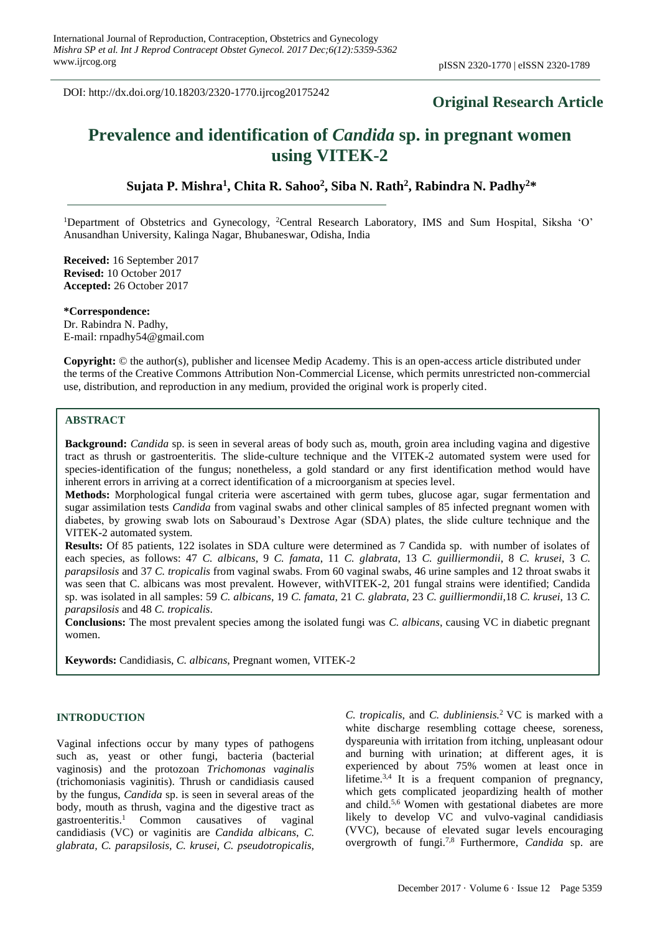DOI: http://dx.doi.org/10.18203/2320-1770.ijrcog20175242

# **Original Research Article**

# **Prevalence and identification of** *Candida* **sp. in pregnant women using VITEK-2**

**Sujata P. Mishra<sup>1</sup> , Chita R. Sahoo<sup>2</sup> , Siba N. Rath<sup>2</sup> , Rabindra N. Padhy<sup>2</sup>\***

<sup>1</sup>Department of Obstetrics and Gynecology, <sup>2</sup>Central Research Laboratory, IMS and Sum Hospital, Siksha 'O' Anusandhan University, Kalinga Nagar, Bhubaneswar, Odisha, India

**Received:** 16 September 2017 **Revised:** 10 October 2017 **Accepted:** 26 October 2017

**\*Correspondence:** Dr. Rabindra N. Padhy, E-mail: rnpadhy54@gmail.com

**Copyright:** © the author(s), publisher and licensee Medip Academy. This is an open-access article distributed under the terms of the Creative Commons Attribution Non-Commercial License, which permits unrestricted non-commercial use, distribution, and reproduction in any medium, provided the original work is properly cited.

# **ABSTRACT**

**Background:** *Candida* sp. is seen in several areas of body such as, mouth, groin area including vagina and digestive tract as thrush or gastroenteritis. The slide-culture technique and the VITEK-2 automated system were used for species-identification of the fungus; nonetheless, a gold standard or any first identification method would have inherent errors in arriving at a correct identification of a microorganism at species level.

**Methods:** Morphological fungal criteria were ascertained with germ tubes, glucose agar, sugar fermentation and sugar assimilation tests *Candida* from vaginal swabs and other clinical samples of 85 infected pregnant women with diabetes, by growing swab lots on Sabouraud's Dextrose Agar (SDA) plates, the slide culture technique and the VITEK-2 automated system.

**Results:** Of 85 patients, 122 isolates in SDA culture were determined as 7 Candida sp. with number of isolates of each species, as follows: 47 *C. albicans*, 9 *C. famata*, 11 *C. glabrata*, 13 *C. guilliermondii*, 8 *C. krusei*, 3 *C. parapsilosis* and 37 *C. tropicalis* from vaginal swabs. From 60 vaginal swabs, 46 urine samples and 12 throat swabs it was seen that C. albicans was most prevalent. However, withVITEK-2, 201 fungal strains were identified; Candida sp. was isolated in all samples: 59 *C. albicans*, 19 *C. famata*, 21 *C. glabrata*, 23 *C. guilliermondii*,18 *C. krusei*, 13 *C. parapsilosis* and 48 *C. tropicalis*.

**Conclusions:** The most prevalent species among the isolated fungi was *C. albicans*, causing VC in diabetic pregnant women.

**Keywords:** Candidiasis, *C. albicans*, Pregnant women, VITEK-2

# **INTRODUCTION**

Vaginal infections occur by many types of pathogens such as, yeast or other fungi, bacteria (bacterial vaginosis) and the protozoan *Trichomonas vaginalis* (trichomoniasis vaginitis). Thrush or candidiasis caused by the fungus, *Candida* sp. is seen in several areas of the body, mouth as thrush, vagina and the digestive tract as gastroenteritis.<sup>1</sup> Common causatives of vaginal candidiasis (VC) or vaginitis are *Candida albicans*, *C. glabrata, C. parapsilosis, C. krusei*, *C. pseudotropicalis,* *C. tropicalis*, and *C. dubliniensis.*<sup>2</sup> VC is marked with a white discharge resembling cottage cheese, soreness, dyspareunia with irritation from itching, unpleasant odour and burning with urination; at different ages, it is experienced by about 75% women at least once in lifetime.<sup>3,4</sup> It is a frequent companion of pregnancy, which gets complicated jeopardizing health of mother and child.5,6 Women with gestational diabetes are more likely to develop VC and vulvo-vaginal candidiasis (VVC), because of elevated sugar levels encouraging overgrowth of fungi.7,8 Furthermore, *Candida* sp. are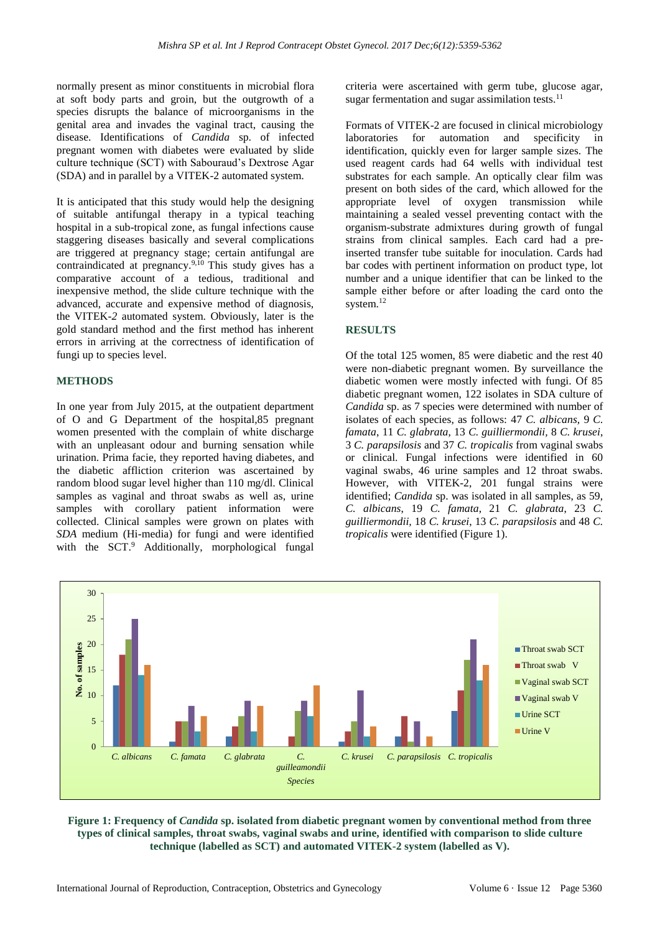normally present as minor constituents in microbial flora at soft body parts and groin, but the outgrowth of a species disrupts the balance of microorganisms in the genital area and invades the vaginal tract, causing the disease. Identifications of *Candida* sp. of infected pregnant women with diabetes were evaluated by slide culture technique (SCT) with Sabouraud's Dextrose Agar (SDA) and in parallel by a VITEK-2 automated system*.*

It is anticipated that this study would help the designing of suitable antifungal therapy in a typical teaching hospital in a sub-tropical zone, as fungal infections cause staggering diseases basically and several complications are triggered at pregnancy stage; certain antifungal are contraindicated at pregnancy.9,10 This study gives has a comparative account of a tedious, traditional and inexpensive method, the slide culture technique with the advanced, accurate and expensive method of diagnosis, the VITEK*-2* automated system. Obviously, later is the gold standard method and the first method has inherent errors in arriving at the correctness of identification of fungi up to species level.

#### **METHODS**

In one year from July 2015, at the outpatient department of O and G Department of the hospital,85 pregnant women presented with the complain of white discharge with an unpleasant odour and burning sensation while urination. Prima facie, they reported having diabetes, and the diabetic affliction criterion was ascertained by random blood sugar level higher than 110 mg/dl. Clinical samples as vaginal and throat swabs as well as, urine samples with corollary patient information were collected. Clinical samples were grown on plates with *SDA* medium (Hi-media) for fungi and were identified with the SCT.<sup>9</sup> Additionally, morphological fungal criteria were ascertained with germ tube, glucose agar, sugar fermentation and sugar assimilation tests. $^{11}$ 

Formats of VITEK-2 are focused in clinical microbiology laboratories for automation and specificity in identification, quickly even for larger sample sizes. The used reagent cards had 64 wells with individual test substrates for each sample. An optically clear film was present on both sides of the card, which allowed for the appropriate level of oxygen transmission while maintaining a sealed vessel preventing contact with the organism-substrate admixtures during growth of fungal strains from clinical samples. Each card had a preinserted transfer tube suitable for inoculation. Cards had bar codes with pertinent information on product type, lot number and a unique identifier that can be linked to the sample either before or after loading the card onto the system.<sup>12</sup>

#### **RESULTS**

Of the total 125 women, 85 were diabetic and the rest 40 were non-diabetic pregnant women. By surveillance the diabetic women were mostly infected with fungi. Of 85 diabetic pregnant women, 122 isolates in SDA culture of *Candida* sp. as 7 species were determined with number of isolates of each species, as follows: 47 *C. albicans,* 9 *C. famata*, 11 *C. glabrata*, 13 *C. guilliermondii,* 8 *C. krusei*, 3 *C. parapsilosis* and 37 *C. tropicalis* from vaginal swabs or clinical. Fungal infections were identified in 60 vaginal swabs, 46 urine samples and 12 throat swabs. However, with VITEK-2, 201 fungal strains were identified; *Candida* sp. was isolated in all samples, as 59, *C. albicans*, 19 *C. famata*, 21 *C. glabrata*, 23 *C. guilliermondii,* 18 *C. krusei*, 13 *C. parapsilosis* and 48 *C. tropicalis* were identified (Figure 1).



**Figure 1: Frequency of** *Candida* **sp. isolated from diabetic pregnant women by conventional method from three types of clinical samples, throat swabs, vaginal swabs and urine, identified with comparison to slide culture technique (labelled as SCT) and automated VITEK-2 system (labelled as V).**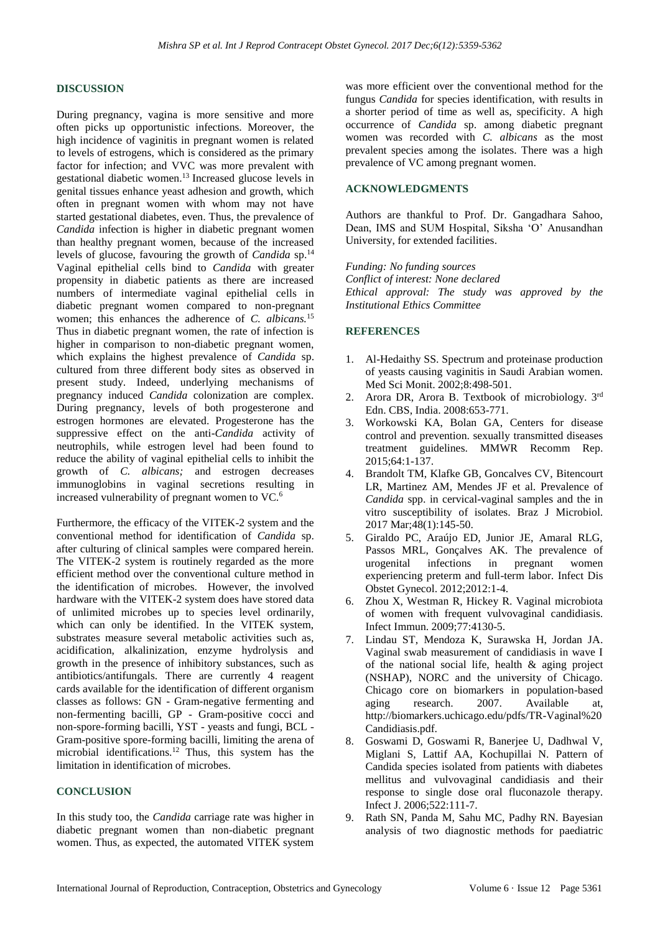#### **DISCUSSION**

During pregnancy, vagina is more sensitive and more often picks up opportunistic infections. Moreover, the high incidence of vaginitis in pregnant women is related to levels of estrogens, which is considered as the primary factor for infection; and VVC was more prevalent with gestational diabetic women.<sup>13</sup> Increased glucose levels in genital tissues enhance yeast adhesion and growth, which often in pregnant women with whom may not have started gestational diabetes, even. Thus, the prevalence of *Candida* infection is higher in diabetic pregnant women than healthy pregnant women, because of the increased levels of glucose, favouring the growth of *Candida* sp.<sup>14</sup> Vaginal epithelial cells bind to *Candida* with greater propensity in diabetic patients as there are increased numbers of intermediate vaginal epithelial cells in diabetic pregnant women compared to non-pregnant women; this enhances the adherence of *C. albicans.*<sup>15</sup> Thus in diabetic pregnant women, the rate of infection is higher in comparison to non-diabetic pregnant women, which explains the highest prevalence of *Candida* sp. cultured from three different body sites as observed in present study. Indeed, underlying mechanisms of pregnancy induced *Candida* colonization are complex. During pregnancy, levels of both progesterone and estrogen hormones are elevated. Progesterone has the suppressive effect on the anti-*Candida* activity of neutrophils, while estrogen level had been found to reduce the ability of vaginal epithelial cells to inhibit the growth of *C. albicans;* and estrogen decreases immunoglobins in vaginal secretions resulting in increased vulnerability of pregnant women to VC.<sup>6</sup>

Furthermore, the efficacy of the VITEK-2 system and the conventional method for identification of *Candida* sp. after culturing of clinical samples were compared herein. The VITEK-2 system is routinely regarded as the more efficient method over the conventional culture method in the identification of microbes. However, the involved hardware with the VITEK-2 system does have stored data of unlimited microbes up to species level ordinarily, which can only be identified. In the VITEK system, substrates measure several metabolic activities such as, acidification, alkalinization, enzyme hydrolysis and growth in the presence of inhibitory substances, such as antibiotics/antifungals. There are currently 4 reagent cards available for the identification of different organism classes as follows: GN - Gram-negative fermenting and non-fermenting bacilli, GP - Gram-positive cocci and non-spore-forming bacilli, YST - yeasts and fungi, BCL - Gram-positive spore-forming bacilli, limiting the arena of microbial identifications.<sup>12</sup> Thus, this system has the limitation in identification of microbes.

# **CONCLUSION**

In this study too, the *Candida* carriage rate was higher in diabetic pregnant women than non-diabetic pregnant women. Thus, as expected, the automated VITEK system was more efficient over the conventional method for the fungus *Candida* for species identification, with results in a shorter period of time as well as, specificity. A high occurrence of *Candida* sp. among diabetic pregnant women was recorded with *C. albicans* as the most prevalent species among the isolates. There was a high prevalence of VC among pregnant women.

# **ACKNOWLEDGMENTS**

Authors are thankful to Prof. Dr. Gangadhara Sahoo, Dean, IMS and SUM Hospital, Siksha 'O' Anusandhan University, for extended facilities.

*Funding: No funding sources Conflict of interest: None declared Ethical approval: The study was approved by the Institutional Ethics Committee*

### **REFERENCES**

- 1. Al-Hedaithy SS. Spectrum and proteinase production of yeasts causing vaginitis in Saudi Arabian women. Med Sci Monit. 2002;8:498-501.
- 2. Arora DR, Arora B. Textbook of microbiology. 3rd Edn. CBS, India. 2008:653-771.
- 3. Workowski KA, Bolan GA, Centers for disease control and prevention. sexually transmitted diseases treatment guidelines. MMWR Recomm Rep. 2015;64:1-137.
- 4. Brandolt TM, Klafke GB, Goncalves CV, Bitencourt LR, Martinez AM, Mendes JF et al. Prevalence of *Candida* spp. in cervical-vaginal samples and the in vitro susceptibility of isolates. Braz J Microbiol. 2017 Mar;48(1):145-50.
- 5. Giraldo PC, Araújo ED, Junior JE, Amaral RLG, Passos MRL, Gonçalves AK. The prevalence of urogenital infections in pregnant women experiencing preterm and full-term labor. Infect Dis Obstet Gynecol. 2012;2012:1-4.
- 6. Zhou X, Westman R, Hickey R. Vaginal microbiota of women with frequent vulvovaginal candidiasis. Infect Immun. 2009;77:4130-5.
- 7. Lindau ST, Mendoza K, Surawska H, Jordan JA. Vaginal swab measurement of candidiasis in wave I of the national social life, health & aging project (NSHAP), NORC and the university of Chicago. Chicago core on biomarkers in population-based aging research. 2007. Available at, http://biomarkers.uchicago.edu/pdfs/TR-Vaginal%20 Candidiasis.pdf.
- 8. Goswami D, Goswami R, Banerjee U, Dadhwal V, Miglani S, Lattif AA, Kochupillai N. Pattern of Candida species isolated from patients with diabetes mellitus and vulvovaginal candidiasis and their response to single dose oral fluconazole therapy. Infect J. 2006;522:111-7.
- 9. Rath SN, Panda M, Sahu MC, Padhy RN. Bayesian analysis of two diagnostic methods for paediatric